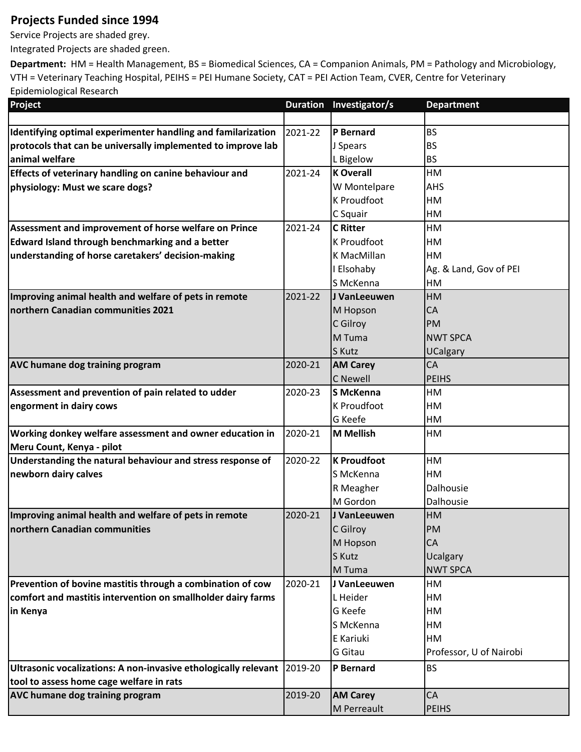## **Projects Funded since 1994**

Service Projects are shaded grey.

Integrated Projects are shaded green.

**Department:** HM = Health Management, BS = Biomedical Sciences, CA = Companion Animals, PM = Pathology and Microbiology, VTH = Veterinary Teaching Hospital, PEIHS = PEI Humane Society, CAT = PEI Action Team, CVER, Centre for Veterinary Epidemiological Research

| Project                                                                   |         | Duration Investigator/s | <b>Department</b>       |
|---------------------------------------------------------------------------|---------|-------------------------|-------------------------|
|                                                                           |         |                         |                         |
| Identifying optimal experimenter handling and familarization              | 2021-22 | P Bernard               | <b>BS</b>               |
| protocols that can be universally implemented to improve lab              |         | J Spears                | <b>BS</b>               |
| lanimal welfare                                                           |         | L Bigelow               | <b>BS</b>               |
| Effects of veterinary handling on canine behaviour and                    | 2021-24 | <b>K Overall</b>        | HM                      |
| physiology: Must we scare dogs?                                           |         | W Montelpare            | <b>AHS</b>              |
|                                                                           |         | <b>K Proudfoot</b>      | HM                      |
|                                                                           |         | C Squair                | HM                      |
| Assessment and improvement of horse welfare on Prince                     | 2021-24 | <b>C</b> Ritter         | HM                      |
| Edward Island through benchmarking and a better                           |         | <b>K Proudfoot</b>      | HM                      |
| understanding of horse caretakers' decision-making                        |         | K MacMillan             | <b>HM</b>               |
|                                                                           |         | I Elsohaby              | Ag. & Land, Gov of PEI  |
|                                                                           |         | S McKenna               | <b>HM</b>               |
| Improving animal health and welfare of pets in remote                     | 2021-22 | J VanLeeuwen            | <b>HM</b>               |
| northern Canadian communities 2021                                        |         | M Hopson                | <b>CA</b>               |
|                                                                           |         | C Gilroy                | <b>PM</b>               |
|                                                                           |         | M Tuma                  | <b>NWT SPCA</b>         |
|                                                                           |         | S Kutz                  | <b>UCalgary</b>         |
| <b>AVC humane dog training program</b>                                    | 2020-21 | <b>AM Carey</b>         | <b>CA</b>               |
|                                                                           |         | <b>C</b> Newell         | <b>PEIHS</b>            |
| Assessment and prevention of pain related to udder                        | 2020-23 | lS McKenna              | <b>HM</b>               |
| engorment in dairy cows                                                   |         | <b>K Proudfoot</b>      | HM                      |
|                                                                           |         | <b>G</b> Keefe          | <b>HM</b>               |
| Working donkey welfare assessment and owner education in                  | 2020-21 | M Mellish               | HM                      |
| Meru Count, Kenya - pilot                                                 |         |                         |                         |
| Understanding the natural behaviour and stress response of                | 2020-22 | <b>K</b> Proudfoot      | HM                      |
| newborn dairy calves                                                      |         | S McKenna               | <b>HM</b>               |
|                                                                           |         | R Meagher               | Dalhousie               |
|                                                                           |         | M Gordon                | Dalhousie               |
| Improving animal health and welfare of pets in remote                     | 2020-21 | J VanLeeuwen            | <b>HM</b>               |
| northern Canadian communities                                             |         | C Gilroy                | PM                      |
|                                                                           |         | M Hopson                | <b>CA</b>               |
|                                                                           |         | S Kutz                  | <b>Ucalgary</b>         |
|                                                                           |         | M Tuma                  | <b>NWT SPCA</b>         |
| Prevention of bovine mastitis through a combination of cow                | 2020-21 | J VanLeeuwen            | HM                      |
| comfort and mastitis intervention on smallholder dairy farms              |         | L Heider                | HM                      |
| in Kenya                                                                  |         | G Keefe                 | HM                      |
|                                                                           |         | S McKenna               | HM                      |
|                                                                           |         | E Kariuki               | HM                      |
|                                                                           |         | G Gitau                 | Professor, U of Nairobi |
| Ultrasonic vocalizations: A non-invasive ethologically relevant   2019-20 |         | P Bernard               | <b>BS</b>               |
| tool to assess home cage welfare in rats                                  |         |                         |                         |
| <b>AVC humane dog training program</b>                                    | 2019-20 | <b>AM Carey</b>         | <b>CA</b>               |
|                                                                           |         | M Perreault             | <b>PEIHS</b>            |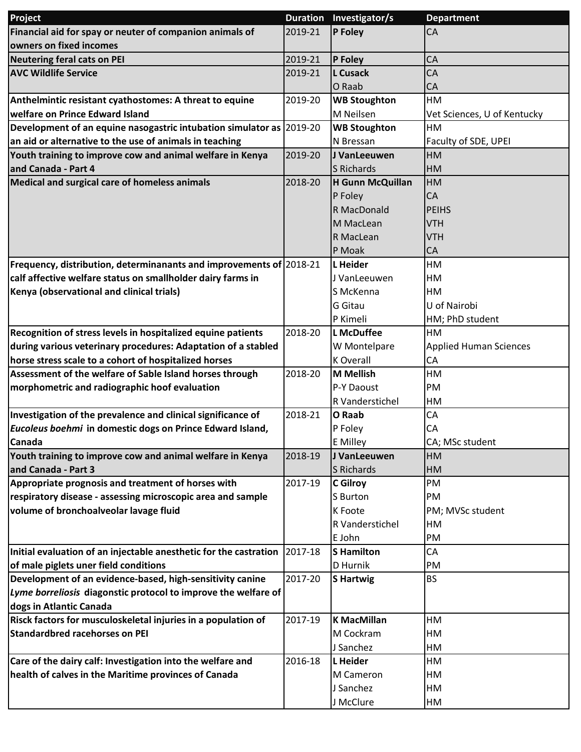| Project                                                              | <b>Duration</b> | Investigator/s      | <b>Department</b>             |
|----------------------------------------------------------------------|-----------------|---------------------|-------------------------------|
| Financial aid for spay or neuter of companion animals of             | 2019-21         | P Foley             | <b>CA</b>                     |
| owners on fixed incomes                                              |                 |                     |                               |
| <b>Neutering feral cats on PEI</b>                                   | 2019-21         | P Foley             | CA                            |
| <b>AVC Wildlife Service</b>                                          | 2019-21         | <b>L</b> Cusack     | CA                            |
|                                                                      |                 | O Raab              | CA                            |
| Anthelmintic resistant cyathostomes: A threat to equine              | 2019-20         | <b>WB Stoughton</b> | HM                            |
| welfare on Prince Edward Island                                      |                 | M Neilsen           | Vet Sciences, U of Kentucky   |
| Development of an equine nasogastric intubation simulator as 2019-20 |                 | <b>WB Stoughton</b> | HM                            |
| an aid or alternative to the use of animals in teaching              |                 | N Bressan           | Faculty of SDE, UPEI          |
| Youth training to improve cow and animal welfare in Kenya            | 2019-20         | J VanLeeuwen        | HM                            |
| and Canada - Part 4                                                  |                 | S Richards          | HM                            |
| Medical and surgical care of homeless animals                        | 2018-20         | H Gunn McQuillan    | <b>HM</b>                     |
|                                                                      |                 | P Foley             | <b>CA</b>                     |
|                                                                      |                 | R MacDonald         | <b>PEIHS</b>                  |
|                                                                      |                 | M MacLean           | <b>VTH</b>                    |
|                                                                      |                 | R MacLean           | <b>VTH</b>                    |
|                                                                      |                 | P Moak              | CA                            |
| Frequency, distribution, determinanants and improvements of 2018-21  |                 | L Heider            | HM                            |
| calf affective welfare status on smallholder dairy farms in          |                 | J VanLeeuwen        | HM                            |
| Kenya (observational and clinical trials)                            |                 | S McKenna           | HM                            |
|                                                                      |                 | G Gitau             | U of Nairobi                  |
|                                                                      |                 | P Kimeli            | HM; PhD student               |
| Recognition of stress levels in hospitalized equine patients         | 2018-20         | L McDuffee          | HM                            |
| during various veterinary procedures: Adaptation of a stabled        |                 | W Montelpare        | <b>Applied Human Sciences</b> |
| horse stress scale to a cohort of hospitalized horses                |                 | <b>K</b> Overall    | CA                            |
| Assessment of the welfare of Sable Island horses through             | 2018-20         | M Mellish           | HM                            |
| morphometric and radiographic hoof evaluation                        |                 | P-Y Daoust          | PM                            |
|                                                                      |                 | R Vanderstichel     | HM                            |
| Investigation of the prevalence and clinical significance of         | 2018-21         | O Raab              | CA                            |
| Eucoleus boehmi in domestic dogs on Prince Edward Island,            |                 | P Foley             | CA                            |
| Canada                                                               |                 | <b>E</b> Milley     | CA; MSc student               |
| Youth training to improve cow and animal welfare in Kenya            | 2018-19         | J VanLeeuwen        | <b>HM</b>                     |
| and Canada - Part 3                                                  |                 | S Richards          | HM                            |
| Appropriate prognosis and treatment of horses with                   | 2017-19         | <b>C</b> Gilroy     | PM                            |
| respiratory disease - assessing microscopic area and sample          |                 | S Burton            | PM                            |
| volume of bronchoalveolar lavage fluid                               |                 | K Foote             | PM; MVSc student              |
|                                                                      |                 | R Vanderstichel     | HM                            |
|                                                                      |                 | E John              | PM                            |
| Initial evaluation of an injectable anesthetic for the castration    | 2017-18         | <b>S</b> Hamilton   | CA                            |
| of male piglets uner field conditions                                |                 | D Hurnik            | PM                            |
| Development of an evidence-based, high-sensitivity canine            | 2017-20         | <b>S</b> Hartwig    | <b>BS</b>                     |
| Lyme borreliosis diagonstic protocol to improve the welfare of       |                 |                     |                               |
| dogs in Atlantic Canada                                              |                 |                     |                               |
| Risck factors for musculoskeletal injuries in a population of        | 2017-19         | K MacMillan         | HM                            |
| <b>Standardbred racehorses on PEI</b>                                |                 | M Cockram           | HM                            |
|                                                                      |                 | J Sanchez           | HM                            |
| Care of the dairy calf: Investigation into the welfare and           | 2016-18         | L Heider            | HM                            |
| health of calves in the Maritime provinces of Canada                 |                 | M Cameron           | HМ                            |
|                                                                      |                 | J Sanchez           | HM                            |
|                                                                      |                 | J McClure           | HM                            |
|                                                                      |                 |                     |                               |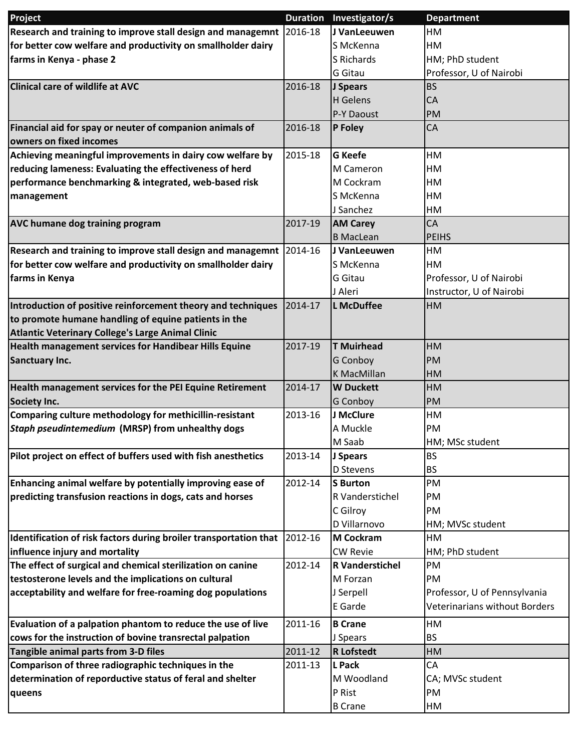| Project                                                           | <b>Duration</b> | Investigator/s         | <b>Department</b>                    |
|-------------------------------------------------------------------|-----------------|------------------------|--------------------------------------|
| Research and training to improve stall design and managemnt       | 2016-18         | J VanLeeuwen           | HM                                   |
| for better cow welfare and productivity on smallholder dairy      |                 | S McKenna              | HМ                                   |
| farms in Kenya - phase 2                                          |                 | S Richards             | HM; PhD student                      |
|                                                                   |                 | G Gitau                | Professor, U of Nairobi              |
| <b>Clinical care of wildlife at AVC</b>                           | 2016-18         | J Spears               | <b>BS</b>                            |
|                                                                   |                 | H Gelens               | CA                                   |
|                                                                   |                 | P-Y Daoust             | PM                                   |
| Financial aid for spay or neuter of companion animals of          | 2016-18         | P Foley                | <b>CA</b>                            |
| owners on fixed incomes                                           |                 |                        |                                      |
| Achieving meaningful improvements in dairy cow welfare by         | 2015-18         | <b>G</b> Keefe         | HM                                   |
| reducing lameness: Evaluating the effectiveness of herd           |                 | M Cameron              | HM                                   |
| performance benchmarking & integrated, web-based risk             |                 | M Cockram              | HM                                   |
| management                                                        |                 | S McKenna              | HM                                   |
|                                                                   |                 | J Sanchez              | HM                                   |
| <b>AVC humane dog training program</b>                            | 2017-19         | <b>AM Carey</b>        | CA                                   |
|                                                                   |                 | <b>B</b> MacLean       | <b>PEIHS</b>                         |
| Research and training to improve stall design and managemnt       | 2014-16         | J VanLeeuwen           | HM                                   |
| for better cow welfare and productivity on smallholder dairy      |                 | S McKenna              | HM                                   |
| farms in Kenya                                                    |                 | G Gitau                | Professor, U of Nairobi              |
|                                                                   |                 | J Aleri                | Instructor, U of Nairobi             |
| Introduction of positive reinforcement theory and techniques      | 2014-17         | <b>L</b> McDuffee      | HM                                   |
| to promote humane handling of equine patients in the              |                 |                        |                                      |
| Atlantic Veterinary College's Large Animal Clinic                 |                 |                        |                                      |
| Health management services for Handibear Hills Equine             | 2017-19         | <b>T</b> Muirhead      | HM                                   |
| <b>Sanctuary Inc.</b>                                             |                 | G Conboy               | PM                                   |
|                                                                   |                 | <b>K MacMillan</b>     | HM                                   |
| Health management services for the PEI Equine Retirement          | 2014-17         | <b>W</b> Duckett       | HM                                   |
| <b>Society Inc.</b>                                               |                 | <b>G</b> Conboy        | <b>PM</b>                            |
| Comparing culture methodology for methicillin-resistant           | 2013-16         | J McClure              | HM                                   |
| Staph pseudintemedium (MRSP) from unhealthy dogs                  |                 | A Muckle               | PM                                   |
|                                                                   |                 | M Saab                 | HM; MSc student                      |
| Pilot project on effect of buffers used with fish anesthetics     | 2013-14         | J Spears               | <b>BS</b>                            |
|                                                                   |                 | D Stevens              | <b>BS</b>                            |
| Enhancing animal welfare by potentially improving ease of         | 2012-14         | S Burton               | PM                                   |
| predicting transfusion reactions in dogs, cats and horses         |                 | R Vanderstichel        | PM                                   |
|                                                                   |                 | C Gilroy               | PM                                   |
|                                                                   |                 | D Villarnovo           | HM; MVSc student                     |
| Identification of risk factors during broiler transportation that | 2012-16         | <b>M Cockram</b>       | HM                                   |
| influence injury and mortality                                    |                 | <b>CW Revie</b>        | HM; PhD student                      |
| The effect of surgical and chemical sterilization on canine       | 2012-14         | <b>R</b> Vanderstichel | PM                                   |
| testosterone levels and the implications on cultural              |                 | M Forzan               | PM                                   |
| acceptability and welfare for free-roaming dog populations        |                 | J Serpell              | Professor, U of Pennsylvania         |
|                                                                   |                 | E Garde                | <b>Veterinarians without Borders</b> |
| Evaluation of a palpation phantom to reduce the use of live       | 2011-16         | <b>B</b> Crane         | HM                                   |
| cows for the instruction of bovine transrectal palpation          |                 | J Spears               | <b>BS</b>                            |
| Tangible animal parts from 3-D files                              | 2011-12         | <b>R</b> Lofstedt      | HM                                   |
| Comparison of three radiographic techniques in the                | 2011-13         | L Pack                 | CA                                   |
| determination of reporductive status of feral and shelter         |                 | M Woodland             | CA; MVSc student                     |
| queens                                                            |                 | P Rist                 | PM                                   |
|                                                                   |                 | <b>B</b> Crane         | HM                                   |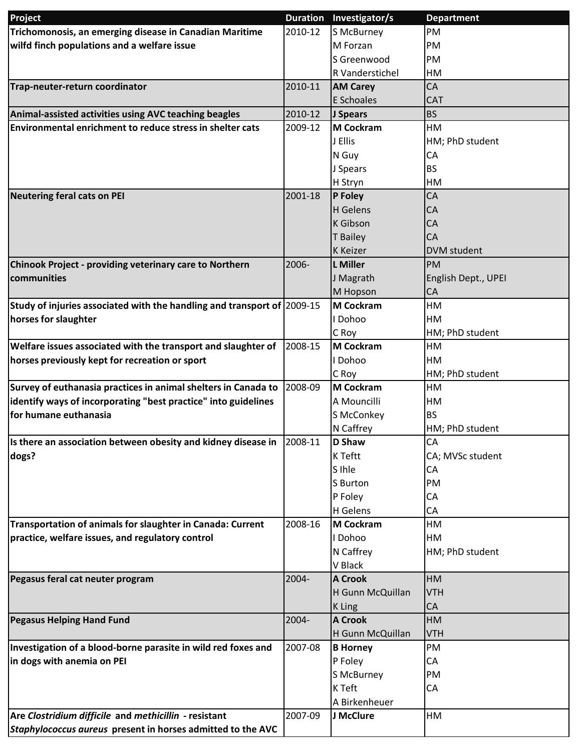| Trichomonosis, an emerging disease in Canadian Maritime<br>2010-12<br>S McBurney<br>PM<br>wilfd finch populations and a welfare issue<br>M Forzan<br>PM<br>S Greenwood<br>PM<br>R Vanderstichel<br>HM<br>Trap-neuter-return coordinator<br>2010-11<br>CA<br><b>AM Carey</b><br>E Schoales<br><b>CAT</b><br>Animal-assisted activities using AVC teaching beagles<br><b>BS</b><br>2010-12<br>J Spears<br>Environmental enrichment to reduce stress in shelter cats<br>2009-12<br>M Cockram<br>HM<br>J Ellis<br>HM; PhD student<br>N Guy<br>CA<br><b>BS</b><br>J Spears<br>H Stryn<br>HM<br><b>Neutering feral cats on PEI</b><br>2001-18<br>P Foley<br>CA<br>H Gelens<br>CA<br>K Gibson<br><b>CA</b><br><b>T</b> Bailey<br><b>CA</b><br><b>K</b> Keizer<br><b>DVM</b> student<br>L Miller<br>Chinook Project - providing veterinary care to Northern<br>2006-<br><b>PM</b><br>communities<br>J Magrath<br>English Dept., UPEI<br>M Hopson<br>CA<br>Study of injuries associated with the handling and transport of 2009-15<br><b>M Cockram</b><br>HM<br>horses for slaughter<br>I Dohoo<br>HM<br>HM; PhD student<br>C Roy<br>Welfare issues associated with the transport and slaughter of<br>2008-15<br><b>M Cockram</b><br>HM<br>horses previously kept for recreation or sport<br>I Dohoo<br>HM<br>C Roy<br>HM; PhD student<br>Survey of euthanasia practices in animal shelters in Canada to<br>2008-09<br><b>M Cockram</b><br>HM<br>identify ways of incorporating "best practice" into guidelines<br>A Mouncilli<br>HM<br>for humane euthanasia<br>S McConkey<br><b>BS</b><br>N Caffrey<br>HM; PhD student<br>CA<br>Is there an association between obesity and kidney disease in<br>2008-11<br><b>D</b> Shaw<br>K Teftt<br>dogs?<br>CA; MVSc student<br>S Ihle<br>CA<br>PM<br>S Burton<br>P Foley<br>CA<br>H Gelens<br>CA<br>Transportation of animals for slaughter in Canada: Current<br>2008-16<br><b>M Cockram</b><br>HM<br>practice, welfare issues, and regulatory control<br>I Dohoo<br>HM<br>N Caffrey<br>HM; PhD student<br>V Black<br>HM<br>Pegasus feral cat neuter program<br>2004-<br><b>A Crook</b><br>H Gunn McQuillan<br><b>VTH</b><br>K Ling<br>CA<br><b>Pegasus Helping Hand Fund</b><br>2004-<br><b>A Crook</b><br>HM<br>H Gunn McQuillan<br><b>VTH</b><br>Investigation of a blood-borne parasite in wild red foxes and<br>2007-08<br>PM<br><b>B</b> Horney<br>in dogs with anemia on PEI<br>P Foley<br>CA<br>S McBurney<br>PM<br>K Teft<br>CA | Project | Duration Investigator/s | <b>Department</b> |
|--------------------------------------------------------------------------------------------------------------------------------------------------------------------------------------------------------------------------------------------------------------------------------------------------------------------------------------------------------------------------------------------------------------------------------------------------------------------------------------------------------------------------------------------------------------------------------------------------------------------------------------------------------------------------------------------------------------------------------------------------------------------------------------------------------------------------------------------------------------------------------------------------------------------------------------------------------------------------------------------------------------------------------------------------------------------------------------------------------------------------------------------------------------------------------------------------------------------------------------------------------------------------------------------------------------------------------------------------------------------------------------------------------------------------------------------------------------------------------------------------------------------------------------------------------------------------------------------------------------------------------------------------------------------------------------------------------------------------------------------------------------------------------------------------------------------------------------------------------------------------------------------------------------------------------------------------------------------------------------------------------------------------------------------------------------------------------------------------------------------------------------------------------------------------------------------------------------------------------------------------------------------------------------------------------------------------------------------------------------------------------------------------------------------------------------------------------------------------|---------|-------------------------|-------------------|
|                                                                                                                                                                                                                                                                                                                                                                                                                                                                                                                                                                                                                                                                                                                                                                                                                                                                                                                                                                                                                                                                                                                                                                                                                                                                                                                                                                                                                                                                                                                                                                                                                                                                                                                                                                                                                                                                                                                                                                                                                                                                                                                                                                                                                                                                                                                                                                                                                                                                          |         |                         |                   |
|                                                                                                                                                                                                                                                                                                                                                                                                                                                                                                                                                                                                                                                                                                                                                                                                                                                                                                                                                                                                                                                                                                                                                                                                                                                                                                                                                                                                                                                                                                                                                                                                                                                                                                                                                                                                                                                                                                                                                                                                                                                                                                                                                                                                                                                                                                                                                                                                                                                                          |         |                         |                   |
|                                                                                                                                                                                                                                                                                                                                                                                                                                                                                                                                                                                                                                                                                                                                                                                                                                                                                                                                                                                                                                                                                                                                                                                                                                                                                                                                                                                                                                                                                                                                                                                                                                                                                                                                                                                                                                                                                                                                                                                                                                                                                                                                                                                                                                                                                                                                                                                                                                                                          |         |                         |                   |
|                                                                                                                                                                                                                                                                                                                                                                                                                                                                                                                                                                                                                                                                                                                                                                                                                                                                                                                                                                                                                                                                                                                                                                                                                                                                                                                                                                                                                                                                                                                                                                                                                                                                                                                                                                                                                                                                                                                                                                                                                                                                                                                                                                                                                                                                                                                                                                                                                                                                          |         |                         |                   |
|                                                                                                                                                                                                                                                                                                                                                                                                                                                                                                                                                                                                                                                                                                                                                                                                                                                                                                                                                                                                                                                                                                                                                                                                                                                                                                                                                                                                                                                                                                                                                                                                                                                                                                                                                                                                                                                                                                                                                                                                                                                                                                                                                                                                                                                                                                                                                                                                                                                                          |         |                         |                   |
|                                                                                                                                                                                                                                                                                                                                                                                                                                                                                                                                                                                                                                                                                                                                                                                                                                                                                                                                                                                                                                                                                                                                                                                                                                                                                                                                                                                                                                                                                                                                                                                                                                                                                                                                                                                                                                                                                                                                                                                                                                                                                                                                                                                                                                                                                                                                                                                                                                                                          |         |                         |                   |
|                                                                                                                                                                                                                                                                                                                                                                                                                                                                                                                                                                                                                                                                                                                                                                                                                                                                                                                                                                                                                                                                                                                                                                                                                                                                                                                                                                                                                                                                                                                                                                                                                                                                                                                                                                                                                                                                                                                                                                                                                                                                                                                                                                                                                                                                                                                                                                                                                                                                          |         |                         |                   |
|                                                                                                                                                                                                                                                                                                                                                                                                                                                                                                                                                                                                                                                                                                                                                                                                                                                                                                                                                                                                                                                                                                                                                                                                                                                                                                                                                                                                                                                                                                                                                                                                                                                                                                                                                                                                                                                                                                                                                                                                                                                                                                                                                                                                                                                                                                                                                                                                                                                                          |         |                         |                   |
|                                                                                                                                                                                                                                                                                                                                                                                                                                                                                                                                                                                                                                                                                                                                                                                                                                                                                                                                                                                                                                                                                                                                                                                                                                                                                                                                                                                                                                                                                                                                                                                                                                                                                                                                                                                                                                                                                                                                                                                                                                                                                                                                                                                                                                                                                                                                                                                                                                                                          |         |                         |                   |
|                                                                                                                                                                                                                                                                                                                                                                                                                                                                                                                                                                                                                                                                                                                                                                                                                                                                                                                                                                                                                                                                                                                                                                                                                                                                                                                                                                                                                                                                                                                                                                                                                                                                                                                                                                                                                                                                                                                                                                                                                                                                                                                                                                                                                                                                                                                                                                                                                                                                          |         |                         |                   |
|                                                                                                                                                                                                                                                                                                                                                                                                                                                                                                                                                                                                                                                                                                                                                                                                                                                                                                                                                                                                                                                                                                                                                                                                                                                                                                                                                                                                                                                                                                                                                                                                                                                                                                                                                                                                                                                                                                                                                                                                                                                                                                                                                                                                                                                                                                                                                                                                                                                                          |         |                         |                   |
|                                                                                                                                                                                                                                                                                                                                                                                                                                                                                                                                                                                                                                                                                                                                                                                                                                                                                                                                                                                                                                                                                                                                                                                                                                                                                                                                                                                                                                                                                                                                                                                                                                                                                                                                                                                                                                                                                                                                                                                                                                                                                                                                                                                                                                                                                                                                                                                                                                                                          |         |                         |                   |
|                                                                                                                                                                                                                                                                                                                                                                                                                                                                                                                                                                                                                                                                                                                                                                                                                                                                                                                                                                                                                                                                                                                                                                                                                                                                                                                                                                                                                                                                                                                                                                                                                                                                                                                                                                                                                                                                                                                                                                                                                                                                                                                                                                                                                                                                                                                                                                                                                                                                          |         |                         |                   |
|                                                                                                                                                                                                                                                                                                                                                                                                                                                                                                                                                                                                                                                                                                                                                                                                                                                                                                                                                                                                                                                                                                                                                                                                                                                                                                                                                                                                                                                                                                                                                                                                                                                                                                                                                                                                                                                                                                                                                                                                                                                                                                                                                                                                                                                                                                                                                                                                                                                                          |         |                         |                   |
|                                                                                                                                                                                                                                                                                                                                                                                                                                                                                                                                                                                                                                                                                                                                                                                                                                                                                                                                                                                                                                                                                                                                                                                                                                                                                                                                                                                                                                                                                                                                                                                                                                                                                                                                                                                                                                                                                                                                                                                                                                                                                                                                                                                                                                                                                                                                                                                                                                                                          |         |                         |                   |
|                                                                                                                                                                                                                                                                                                                                                                                                                                                                                                                                                                                                                                                                                                                                                                                                                                                                                                                                                                                                                                                                                                                                                                                                                                                                                                                                                                                                                                                                                                                                                                                                                                                                                                                                                                                                                                                                                                                                                                                                                                                                                                                                                                                                                                                                                                                                                                                                                                                                          |         |                         |                   |
|                                                                                                                                                                                                                                                                                                                                                                                                                                                                                                                                                                                                                                                                                                                                                                                                                                                                                                                                                                                                                                                                                                                                                                                                                                                                                                                                                                                                                                                                                                                                                                                                                                                                                                                                                                                                                                                                                                                                                                                                                                                                                                                                                                                                                                                                                                                                                                                                                                                                          |         |                         |                   |
|                                                                                                                                                                                                                                                                                                                                                                                                                                                                                                                                                                                                                                                                                                                                                                                                                                                                                                                                                                                                                                                                                                                                                                                                                                                                                                                                                                                                                                                                                                                                                                                                                                                                                                                                                                                                                                                                                                                                                                                                                                                                                                                                                                                                                                                                                                                                                                                                                                                                          |         |                         |                   |
|                                                                                                                                                                                                                                                                                                                                                                                                                                                                                                                                                                                                                                                                                                                                                                                                                                                                                                                                                                                                                                                                                                                                                                                                                                                                                                                                                                                                                                                                                                                                                                                                                                                                                                                                                                                                                                                                                                                                                                                                                                                                                                                                                                                                                                                                                                                                                                                                                                                                          |         |                         |                   |
|                                                                                                                                                                                                                                                                                                                                                                                                                                                                                                                                                                                                                                                                                                                                                                                                                                                                                                                                                                                                                                                                                                                                                                                                                                                                                                                                                                                                                                                                                                                                                                                                                                                                                                                                                                                                                                                                                                                                                                                                                                                                                                                                                                                                                                                                                                                                                                                                                                                                          |         |                         |                   |
|                                                                                                                                                                                                                                                                                                                                                                                                                                                                                                                                                                                                                                                                                                                                                                                                                                                                                                                                                                                                                                                                                                                                                                                                                                                                                                                                                                                                                                                                                                                                                                                                                                                                                                                                                                                                                                                                                                                                                                                                                                                                                                                                                                                                                                                                                                                                                                                                                                                                          |         |                         |                   |
|                                                                                                                                                                                                                                                                                                                                                                                                                                                                                                                                                                                                                                                                                                                                                                                                                                                                                                                                                                                                                                                                                                                                                                                                                                                                                                                                                                                                                                                                                                                                                                                                                                                                                                                                                                                                                                                                                                                                                                                                                                                                                                                                                                                                                                                                                                                                                                                                                                                                          |         |                         |                   |
|                                                                                                                                                                                                                                                                                                                                                                                                                                                                                                                                                                                                                                                                                                                                                                                                                                                                                                                                                                                                                                                                                                                                                                                                                                                                                                                                                                                                                                                                                                                                                                                                                                                                                                                                                                                                                                                                                                                                                                                                                                                                                                                                                                                                                                                                                                                                                                                                                                                                          |         |                         |                   |
|                                                                                                                                                                                                                                                                                                                                                                                                                                                                                                                                                                                                                                                                                                                                                                                                                                                                                                                                                                                                                                                                                                                                                                                                                                                                                                                                                                                                                                                                                                                                                                                                                                                                                                                                                                                                                                                                                                                                                                                                                                                                                                                                                                                                                                                                                                                                                                                                                                                                          |         |                         |                   |
|                                                                                                                                                                                                                                                                                                                                                                                                                                                                                                                                                                                                                                                                                                                                                                                                                                                                                                                                                                                                                                                                                                                                                                                                                                                                                                                                                                                                                                                                                                                                                                                                                                                                                                                                                                                                                                                                                                                                                                                                                                                                                                                                                                                                                                                                                                                                                                                                                                                                          |         |                         |                   |
|                                                                                                                                                                                                                                                                                                                                                                                                                                                                                                                                                                                                                                                                                                                                                                                                                                                                                                                                                                                                                                                                                                                                                                                                                                                                                                                                                                                                                                                                                                                                                                                                                                                                                                                                                                                                                                                                                                                                                                                                                                                                                                                                                                                                                                                                                                                                                                                                                                                                          |         |                         |                   |
|                                                                                                                                                                                                                                                                                                                                                                                                                                                                                                                                                                                                                                                                                                                                                                                                                                                                                                                                                                                                                                                                                                                                                                                                                                                                                                                                                                                                                                                                                                                                                                                                                                                                                                                                                                                                                                                                                                                                                                                                                                                                                                                                                                                                                                                                                                                                                                                                                                                                          |         |                         |                   |
|                                                                                                                                                                                                                                                                                                                                                                                                                                                                                                                                                                                                                                                                                                                                                                                                                                                                                                                                                                                                                                                                                                                                                                                                                                                                                                                                                                                                                                                                                                                                                                                                                                                                                                                                                                                                                                                                                                                                                                                                                                                                                                                                                                                                                                                                                                                                                                                                                                                                          |         |                         |                   |
|                                                                                                                                                                                                                                                                                                                                                                                                                                                                                                                                                                                                                                                                                                                                                                                                                                                                                                                                                                                                                                                                                                                                                                                                                                                                                                                                                                                                                                                                                                                                                                                                                                                                                                                                                                                                                                                                                                                                                                                                                                                                                                                                                                                                                                                                                                                                                                                                                                                                          |         |                         |                   |
|                                                                                                                                                                                                                                                                                                                                                                                                                                                                                                                                                                                                                                                                                                                                                                                                                                                                                                                                                                                                                                                                                                                                                                                                                                                                                                                                                                                                                                                                                                                                                                                                                                                                                                                                                                                                                                                                                                                                                                                                                                                                                                                                                                                                                                                                                                                                                                                                                                                                          |         |                         |                   |
|                                                                                                                                                                                                                                                                                                                                                                                                                                                                                                                                                                                                                                                                                                                                                                                                                                                                                                                                                                                                                                                                                                                                                                                                                                                                                                                                                                                                                                                                                                                                                                                                                                                                                                                                                                                                                                                                                                                                                                                                                                                                                                                                                                                                                                                                                                                                                                                                                                                                          |         |                         |                   |
|                                                                                                                                                                                                                                                                                                                                                                                                                                                                                                                                                                                                                                                                                                                                                                                                                                                                                                                                                                                                                                                                                                                                                                                                                                                                                                                                                                                                                                                                                                                                                                                                                                                                                                                                                                                                                                                                                                                                                                                                                                                                                                                                                                                                                                                                                                                                                                                                                                                                          |         |                         |                   |
|                                                                                                                                                                                                                                                                                                                                                                                                                                                                                                                                                                                                                                                                                                                                                                                                                                                                                                                                                                                                                                                                                                                                                                                                                                                                                                                                                                                                                                                                                                                                                                                                                                                                                                                                                                                                                                                                                                                                                                                                                                                                                                                                                                                                                                                                                                                                                                                                                                                                          |         |                         |                   |
|                                                                                                                                                                                                                                                                                                                                                                                                                                                                                                                                                                                                                                                                                                                                                                                                                                                                                                                                                                                                                                                                                                                                                                                                                                                                                                                                                                                                                                                                                                                                                                                                                                                                                                                                                                                                                                                                                                                                                                                                                                                                                                                                                                                                                                                                                                                                                                                                                                                                          |         |                         |                   |
|                                                                                                                                                                                                                                                                                                                                                                                                                                                                                                                                                                                                                                                                                                                                                                                                                                                                                                                                                                                                                                                                                                                                                                                                                                                                                                                                                                                                                                                                                                                                                                                                                                                                                                                                                                                                                                                                                                                                                                                                                                                                                                                                                                                                                                                                                                                                                                                                                                                                          |         |                         |                   |
|                                                                                                                                                                                                                                                                                                                                                                                                                                                                                                                                                                                                                                                                                                                                                                                                                                                                                                                                                                                                                                                                                                                                                                                                                                                                                                                                                                                                                                                                                                                                                                                                                                                                                                                                                                                                                                                                                                                                                                                                                                                                                                                                                                                                                                                                                                                                                                                                                                                                          |         |                         |                   |
|                                                                                                                                                                                                                                                                                                                                                                                                                                                                                                                                                                                                                                                                                                                                                                                                                                                                                                                                                                                                                                                                                                                                                                                                                                                                                                                                                                                                                                                                                                                                                                                                                                                                                                                                                                                                                                                                                                                                                                                                                                                                                                                                                                                                                                                                                                                                                                                                                                                                          |         |                         |                   |
|                                                                                                                                                                                                                                                                                                                                                                                                                                                                                                                                                                                                                                                                                                                                                                                                                                                                                                                                                                                                                                                                                                                                                                                                                                                                                                                                                                                                                                                                                                                                                                                                                                                                                                                                                                                                                                                                                                                                                                                                                                                                                                                                                                                                                                                                                                                                                                                                                                                                          |         |                         |                   |
|                                                                                                                                                                                                                                                                                                                                                                                                                                                                                                                                                                                                                                                                                                                                                                                                                                                                                                                                                                                                                                                                                                                                                                                                                                                                                                                                                                                                                                                                                                                                                                                                                                                                                                                                                                                                                                                                                                                                                                                                                                                                                                                                                                                                                                                                                                                                                                                                                                                                          |         |                         |                   |
|                                                                                                                                                                                                                                                                                                                                                                                                                                                                                                                                                                                                                                                                                                                                                                                                                                                                                                                                                                                                                                                                                                                                                                                                                                                                                                                                                                                                                                                                                                                                                                                                                                                                                                                                                                                                                                                                                                                                                                                                                                                                                                                                                                                                                                                                                                                                                                                                                                                                          |         |                         |                   |
|                                                                                                                                                                                                                                                                                                                                                                                                                                                                                                                                                                                                                                                                                                                                                                                                                                                                                                                                                                                                                                                                                                                                                                                                                                                                                                                                                                                                                                                                                                                                                                                                                                                                                                                                                                                                                                                                                                                                                                                                                                                                                                                                                                                                                                                                                                                                                                                                                                                                          |         |                         |                   |
|                                                                                                                                                                                                                                                                                                                                                                                                                                                                                                                                                                                                                                                                                                                                                                                                                                                                                                                                                                                                                                                                                                                                                                                                                                                                                                                                                                                                                                                                                                                                                                                                                                                                                                                                                                                                                                                                                                                                                                                                                                                                                                                                                                                                                                                                                                                                                                                                                                                                          |         |                         |                   |
|                                                                                                                                                                                                                                                                                                                                                                                                                                                                                                                                                                                                                                                                                                                                                                                                                                                                                                                                                                                                                                                                                                                                                                                                                                                                                                                                                                                                                                                                                                                                                                                                                                                                                                                                                                                                                                                                                                                                                                                                                                                                                                                                                                                                                                                                                                                                                                                                                                                                          |         |                         |                   |
|                                                                                                                                                                                                                                                                                                                                                                                                                                                                                                                                                                                                                                                                                                                                                                                                                                                                                                                                                                                                                                                                                                                                                                                                                                                                                                                                                                                                                                                                                                                                                                                                                                                                                                                                                                                                                                                                                                                                                                                                                                                                                                                                                                                                                                                                                                                                                                                                                                                                          |         |                         |                   |
|                                                                                                                                                                                                                                                                                                                                                                                                                                                                                                                                                                                                                                                                                                                                                                                                                                                                                                                                                                                                                                                                                                                                                                                                                                                                                                                                                                                                                                                                                                                                                                                                                                                                                                                                                                                                                                                                                                                                                                                                                                                                                                                                                                                                                                                                                                                                                                                                                                                                          |         |                         |                   |
|                                                                                                                                                                                                                                                                                                                                                                                                                                                                                                                                                                                                                                                                                                                                                                                                                                                                                                                                                                                                                                                                                                                                                                                                                                                                                                                                                                                                                                                                                                                                                                                                                                                                                                                                                                                                                                                                                                                                                                                                                                                                                                                                                                                                                                                                                                                                                                                                                                                                          |         |                         |                   |
|                                                                                                                                                                                                                                                                                                                                                                                                                                                                                                                                                                                                                                                                                                                                                                                                                                                                                                                                                                                                                                                                                                                                                                                                                                                                                                                                                                                                                                                                                                                                                                                                                                                                                                                                                                                                                                                                                                                                                                                                                                                                                                                                                                                                                                                                                                                                                                                                                                                                          |         |                         |                   |
|                                                                                                                                                                                                                                                                                                                                                                                                                                                                                                                                                                                                                                                                                                                                                                                                                                                                                                                                                                                                                                                                                                                                                                                                                                                                                                                                                                                                                                                                                                                                                                                                                                                                                                                                                                                                                                                                                                                                                                                                                                                                                                                                                                                                                                                                                                                                                                                                                                                                          |         |                         |                   |
|                                                                                                                                                                                                                                                                                                                                                                                                                                                                                                                                                                                                                                                                                                                                                                                                                                                                                                                                                                                                                                                                                                                                                                                                                                                                                                                                                                                                                                                                                                                                                                                                                                                                                                                                                                                                                                                                                                                                                                                                                                                                                                                                                                                                                                                                                                                                                                                                                                                                          |         | A Birkenheuer           |                   |
| Are Clostridium difficile and methicillin - resistant<br>2007-09<br>J McClure<br>HM                                                                                                                                                                                                                                                                                                                                                                                                                                                                                                                                                                                                                                                                                                                                                                                                                                                                                                                                                                                                                                                                                                                                                                                                                                                                                                                                                                                                                                                                                                                                                                                                                                                                                                                                                                                                                                                                                                                                                                                                                                                                                                                                                                                                                                                                                                                                                                                      |         |                         |                   |
| Staphylococcus aureus present in horses admitted to the AVC                                                                                                                                                                                                                                                                                                                                                                                                                                                                                                                                                                                                                                                                                                                                                                                                                                                                                                                                                                                                                                                                                                                                                                                                                                                                                                                                                                                                                                                                                                                                                                                                                                                                                                                                                                                                                                                                                                                                                                                                                                                                                                                                                                                                                                                                                                                                                                                                              |         |                         |                   |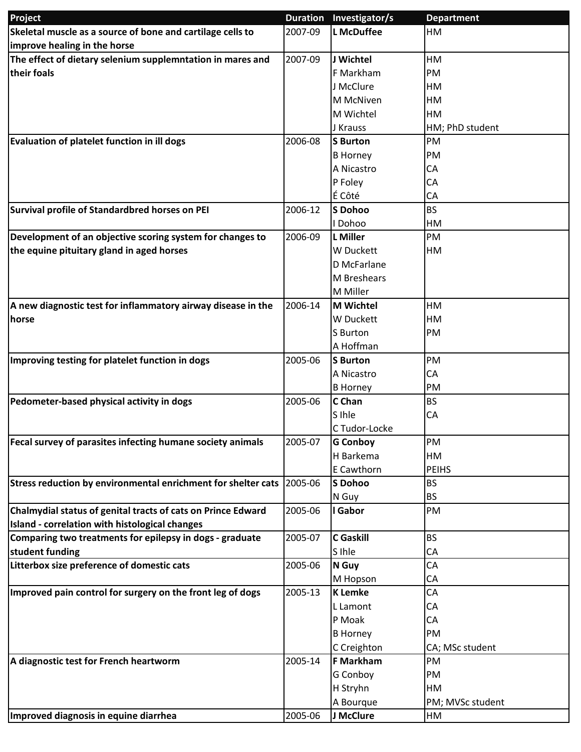| Project                                                       |         | Duration Investigator/s | <b>Department</b>         |
|---------------------------------------------------------------|---------|-------------------------|---------------------------|
| Skeletal muscle as a source of bone and cartilage cells to    | 2007-09 | <b>L</b> McDuffee       | HM                        |
| improve healing in the horse                                  |         |                         |                           |
| The effect of dietary selenium supplemntation in mares and    | 2007-09 | J Wichtel               | HM                        |
| their foals                                                   |         | F Markham               | PM                        |
|                                                               |         | J McClure               | HM                        |
|                                                               |         | M McNiven               | HM                        |
|                                                               |         | M Wichtel               | HM                        |
|                                                               |         | J Krauss                | HM; PhD student           |
| Evaluation of platelet function in ill dogs                   | 2006-08 | <b>S</b> Burton         | PM                        |
|                                                               |         | <b>B</b> Horney         | PM                        |
|                                                               |         | A Nicastro              | CA                        |
|                                                               |         | P Foley                 | CA                        |
|                                                               |         | É Côté                  | CA                        |
| Survival profile of Standardbred horses on PEI                | 2006-12 | <b>S</b> Dohoo          | <b>BS</b>                 |
|                                                               |         | I Dohoo                 | HM                        |
| Development of an objective scoring system for changes to     | 2006-09 | <b>L</b> Miller         | PM                        |
| the equine pituitary gland in aged horses                     |         | W Duckett               | HM                        |
|                                                               |         | D McFarlane             |                           |
|                                                               |         | <b>M</b> Breshears      |                           |
|                                                               |         | M Miller                |                           |
| A new diagnostic test for inflammatory airway disease in the  | 2006-14 | <b>M</b> Wichtel        | HM                        |
| horse                                                         |         | W Duckett               | HM                        |
|                                                               |         | S Burton                | PM                        |
|                                                               |         | A Hoffman               |                           |
| Improving testing for platelet function in dogs               | 2005-06 | <b>S</b> Burton         | PM                        |
|                                                               |         | A Nicastro              | CA                        |
|                                                               |         | <b>B</b> Horney         | PM                        |
| Pedometer-based physical activity in dogs                     | 2005-06 | C Chan                  | <b>BS</b>                 |
|                                                               |         | S Ihle                  | CA                        |
|                                                               |         | C Tudor-Locke           |                           |
| Fecal survey of parasites infecting humane society animals    | 2005-07 | <b>G Conboy</b>         | PM                        |
|                                                               |         | H Barkema<br>E Cawthorn | HM                        |
|                                                               | 2005-06 | <b>S</b> Dohoo          | <b>PEIHS</b><br><b>BS</b> |
| Stress reduction by environmental enrichment for shelter cats |         | N Guy                   | BS                        |
| Chalmydial status of genital tracts of cats on Prince Edward  | 2005-06 | I Gabor                 | PM                        |
| Island - correlation with histological changes                |         |                         |                           |
| Comparing two treatments for epilepsy in dogs - graduate      | 2005-07 | <b>C</b> Gaskill        | <b>BS</b>                 |
| student funding                                               |         | S Ihle                  | CA                        |
| Litterbox size preference of domestic cats                    | 2005-06 | N Guy                   | CA                        |
|                                                               |         | M Hopson                | CA                        |
| Improved pain control for surgery on the front leg of dogs    | 2005-13 | <b>K</b> Lemke          | CA                        |
|                                                               |         | L Lamont                | CA                        |
|                                                               |         | P Moak                  | CA                        |
|                                                               |         | <b>B Horney</b>         | PM                        |
|                                                               |         | C Creighton             | CA; MSc student           |
| A diagnostic test for French heartworm                        | 2005-14 | <b>F Markham</b>        | PM                        |
|                                                               |         | G Conboy                | PM                        |
|                                                               |         | H Stryhn                | HM                        |
|                                                               |         | A Bourque               | PM; MVSc student          |
| Improved diagnosis in equine diarrhea                         | 2005-06 | J McClure               | HM                        |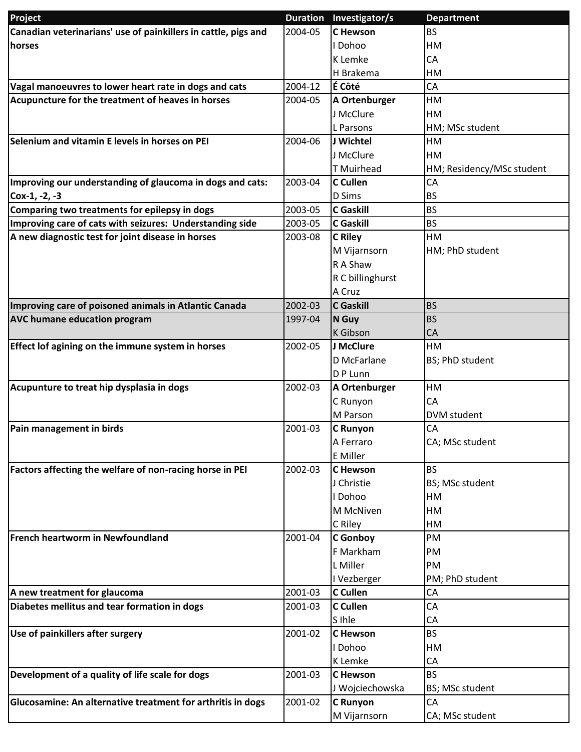| Project                                                                      | <b>Duration</b>    | Investigator/s                     | <b>Department</b>         |
|------------------------------------------------------------------------------|--------------------|------------------------------------|---------------------------|
| Canadian veterinarians' use of painkillers in cattle, pigs and               | 2004-05            | <b>C</b> Hewson                    | <b>BS</b>                 |
| horses                                                                       |                    | l Dohoo                            | <b>HM</b>                 |
|                                                                              |                    | K Lemke                            | CA                        |
|                                                                              |                    | H Brakema                          | <b>HM</b>                 |
| Vagal manoeuvres to lower heart rate in dogs and cats                        | 2004-12            | É Côté                             | CA                        |
| Acupuncture for the treatment of heaves in horses                            | 2004-05            | A Ortenburger                      | HM                        |
|                                                                              |                    | J McClure                          | <b>HM</b>                 |
|                                                                              |                    | L Parsons                          | HM; MSc student           |
| Selenium and vitamin E levels in horses on PEI                               | 2004-06            | J Wichtel                          | <b>HM</b>                 |
|                                                                              |                    | J McClure                          | HM                        |
|                                                                              |                    | <b>T</b> Muirhead                  | HM; Residency/MSc student |
| Improving our understanding of glaucoma in dogs and cats:                    | 2003-04            | <b>C</b> Cullen                    | CA                        |
| Cox-1, -2, -3                                                                |                    | D Sims                             | <b>BS</b>                 |
| Comparing two treatments for epilepsy in dogs                                | 2003-05            | <b>C</b> Gaskill                   | <b>BS</b>                 |
| Improving care of cats with seizures: Understanding side                     | 2003-05            | <b>C</b> Gaskill                   | <b>BS</b>                 |
| A new diagnostic test for joint disease in horses                            | 2003-08            | <b>C</b> Riley                     | <b>HM</b>                 |
|                                                                              |                    | M Vijarnsorn                       | HM; PhD student           |
|                                                                              |                    | R A Shaw                           |                           |
|                                                                              |                    | R C billinghurst                   |                           |
|                                                                              |                    | A Cruz                             |                           |
| Improving care of poisoned animals in Atlantic Canada                        | 2002-03            | <b>C</b> Gaskill                   | <b>BS</b>                 |
| <b>AVC humane education program</b>                                          | 1997-04            | N Guy                              | <b>BS</b>                 |
|                                                                              |                    | K Gibson                           | CA                        |
| Effect lof agining on the immune system in horses                            | 2002-05            | J McClure                          | <b>HM</b>                 |
|                                                                              |                    | D McFarlane                        | BS; PhD student           |
|                                                                              |                    | D P Lunn                           |                           |
| Acupunture to treat hip dysplasia in dogs                                    | 2002-03            | A Ortenburger                      | HM                        |
|                                                                              |                    | C Runyon                           | CA                        |
|                                                                              |                    | M Parson                           | DVM student               |
| Pain management in birds                                                     | 2001-03            | <b>C</b> Runyon                    | CA                        |
|                                                                              |                    | A Ferraro                          | CA; MSc student           |
|                                                                              |                    | <b>E</b> Miller                    |                           |
| Factors affecting the welfare of non-racing horse in PEI                     | 2002-03            | <b>C</b> Hewson                    | <b>BS</b>                 |
|                                                                              |                    | J Christie                         | BS; MSc student           |
|                                                                              |                    | I Dohoo                            | <b>HM</b>                 |
|                                                                              |                    | M McNiven                          | HM                        |
|                                                                              |                    | C Riley                            | <b>HM</b>                 |
| <b>French heartworm in Newfoundland</b>                                      | 2001-04            | <b>C</b> Gonboy                    | PM                        |
|                                                                              |                    | F Markham                          | PM                        |
|                                                                              |                    | L Miller                           | PM                        |
|                                                                              |                    | I Vezberger                        | PM; PhD student           |
| A new treatment for glaucoma<br>Diabetes mellitus and tear formation in dogs | 2001-03<br>2001-03 | C Cullen<br>C Cullen               | CA<br>CA                  |
|                                                                              |                    | S Ihle                             | CA                        |
| Use of painkillers after surgery                                             | 2001-02            | C Hewson                           | <b>BS</b>                 |
|                                                                              |                    | I Dohoo                            | HM                        |
|                                                                              |                    | K Lemke                            | CA                        |
| Development of a quality of life scale for dogs                              | 2001-03            | <b>C</b> Hewson                    | <b>BS</b>                 |
|                                                                              |                    |                                    | BS; MSc student           |
| Glucosamine: An alternative treatment for arthritis in dogs                  | 2001-02            | J Wojciechowska<br><b>C</b> Runyon | CA                        |
|                                                                              |                    | M Vijarnsorn                       | CA; MSc student           |
|                                                                              |                    |                                    |                           |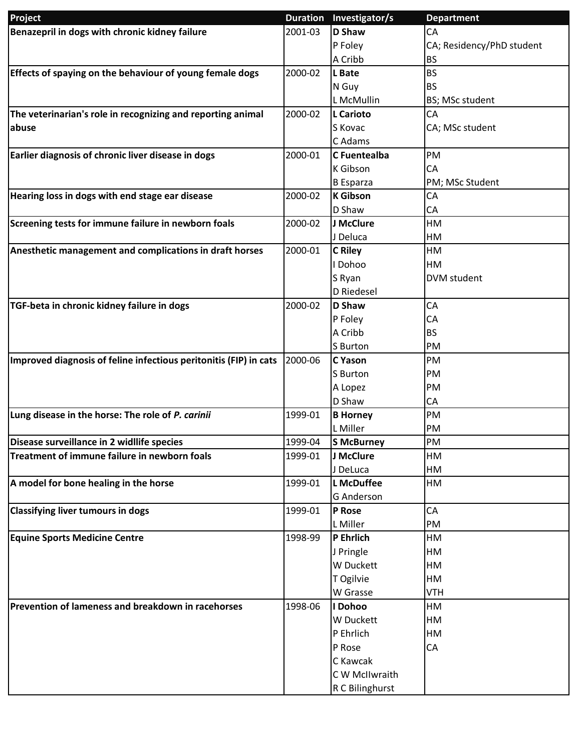| Project                                                           |         | Duration Investigator/s | <b>Department</b>         |
|-------------------------------------------------------------------|---------|-------------------------|---------------------------|
| Benazepril in dogs with chronic kidney failure                    | 2001-03 | <b>D</b> Shaw           | CA                        |
|                                                                   |         | P Foley                 | CA; Residency/PhD student |
|                                                                   |         | A Cribb                 | <b>BS</b>                 |
| Effects of spaying on the behaviour of young female dogs          | 2000-02 | L Bate                  | <b>BS</b>                 |
|                                                                   |         | N Guy                   | <b>BS</b>                 |
|                                                                   |         | L McMullin              | BS; MSc student           |
| The veterinarian's role in recognizing and reporting animal       | 2000-02 | L Carioto               | CA                        |
| abuse                                                             |         | S Kovac                 | CA; MSc student           |
|                                                                   |         | C Adams                 |                           |
| Earlier diagnosis of chronic liver disease in dogs                | 2000-01 | <b>C</b> Fuentealba     | PM                        |
|                                                                   |         | K Gibson                | CA                        |
|                                                                   |         | <b>B</b> Esparza        | PM; MSc Student           |
| Hearing loss in dogs with end stage ear disease                   | 2000-02 | <b>K</b> Gibson         | CA                        |
|                                                                   |         | D Shaw                  | CA                        |
| Screening tests for immune failure in newborn foals               | 2000-02 | J McClure               | HM                        |
|                                                                   |         | J Deluca                | HM                        |
| Anesthetic management and complications in draft horses           | 2000-01 | <b>C</b> Riley          | HM                        |
|                                                                   |         | I Dohoo                 | HM                        |
|                                                                   |         | S Ryan                  | <b>DVM</b> student        |
|                                                                   |         | D Riedesel              |                           |
| TGF-beta in chronic kidney failure in dogs                        | 2000-02 | <b>D Shaw</b>           | CA                        |
|                                                                   |         | P Foley                 | CA                        |
|                                                                   |         | A Cribb                 | <b>BS</b>                 |
|                                                                   |         | S Burton                | PM                        |
| Improved diagnosis of feline infectious peritonitis (FIP) in cats | 2000-06 | <b>C</b> Yason          | PM                        |
|                                                                   |         | S Burton                | PM                        |
|                                                                   |         | A Lopez                 | PM                        |
|                                                                   |         | D Shaw                  | CA                        |
| Lung disease in the horse: The role of P. carinii                 | 1999-01 | <b>B Horney</b>         | PM                        |
|                                                                   |         | L Miller                | PM                        |
| Disease surveillance in 2 widllife species                        | 1999-04 | S McBurney              | PM                        |
| Treatment of immune failure in newborn foals                      | 1999-01 | J McClure               | HM                        |
|                                                                   |         | J DeLuca                | HM                        |
| A model for bone healing in the horse                             | 1999-01 | <b>L</b> McDuffee       | HM                        |
|                                                                   |         | <b>G</b> Anderson       |                           |
| <b>Classifying liver tumours in dogs</b>                          | 1999-01 | P Rose                  | CA                        |
|                                                                   |         | L Miller                | PM                        |
| <b>Equine Sports Medicine Centre</b>                              | 1998-99 | P Ehrlich               | HM                        |
|                                                                   |         | J Pringle               | HM                        |
|                                                                   |         | W Duckett               | HM                        |
|                                                                   |         | T Ogilvie               | HM                        |
|                                                                   |         | W Grasse                | <b>VTH</b>                |
| Prevention of lameness and breakdown in racehorses                | 1998-06 | I Dohoo                 | HM                        |
|                                                                   |         | W Duckett               | HM                        |
|                                                                   |         | P Ehrlich               |                           |
|                                                                   |         | P Rose                  | HM<br>CA                  |
|                                                                   |         | C Kawcak                |                           |
|                                                                   |         |                         |                           |
|                                                                   |         | C W McIlwraith          |                           |
|                                                                   |         | R C Bilinghurst         |                           |